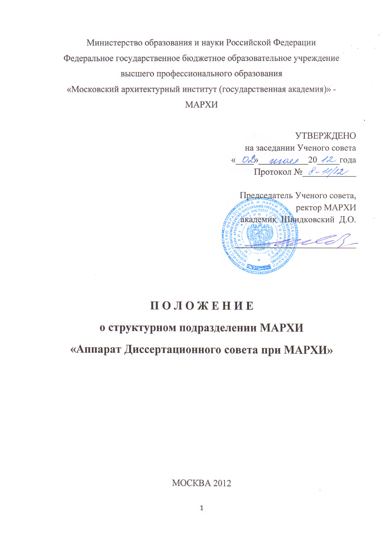Министерство образования и науки Российской Федерации Федеральное государственное бюджетное образовательное учреждение высшего профессионального образования «Московский архитектурный институт (государственная академия)» -МАРХИ

> **УТВЕРЖДЕНО** на заседании Ученого совета « OL» maes 20 12 года Протокол № 8-14/12

Председатель Ученого совета, ректор МАРХИ академик Швидковский Д.О. rele

# ПОЛОЖЕНИЕ

## о структурном подразделении МАРХИ

«Аппарат Диссертационного совета при МАРХИ»

MOCKBA 2012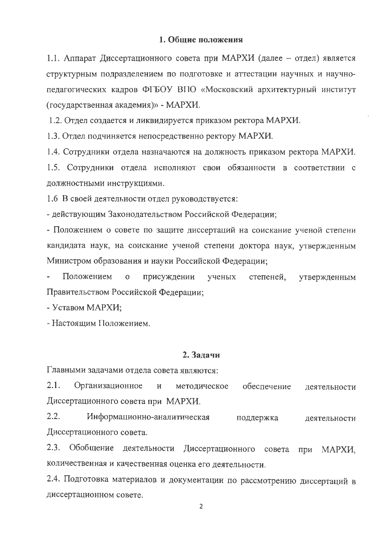#### 1. Общие положения

1.1. Аппарат Диссертационного совета при МАРХИ (далее – отдел) является структурным подразделением по подготовке и аттестации научных и научнопедагогических кадров ФГБОУ ВПО «Московский архитектурный институт (государственная академия)» - МАРХИ.

1.2. Отдел создается и ликвидируется приказом ректора МАРХИ.

1.3. Отдел подчиняется непосредственно ректору МАРХИ.

1.4. Сотрудники отдела назначаются на должность приказом ректора МАРХИ.

1.5. Сотрудники отдела исполняют свои обязанности в соответствии с должностными инструкциями.

1.6 В своей деятельности отдел руководствуется:

- действующим Законодательством Российской Федерации;

- Положением о совете по защите диссертаций на соискание ученой степени кандидата наук, на соискание ученой степени доктора наук, утвержденным Министром образования и науки Российской Федерации;

Положением присуждении степеней,  $\overline{O}$ ученых утвержденным Правительством Российской Федерации;

- Уставом МАРХИ;

- Настоящим Положением.

#### 2. Задачи

Главными задачами отдела совета являются:

 $2.1.$ Организационное обеспечение  $\mathbf H$ методическое деятельности Диссертационного совета при МАРХИ.

 $2.2.$ Информационно-аналитическая поддержка деятельности Диссертационного совета.

 $2.3.$ Обобщение деятельности Диссертационного совета МАРХИ, при количественная и качественная оценка его деятельности.

2.4. Подготовка материалов и документации по рассмотрению диссертаций в диссертационном совете.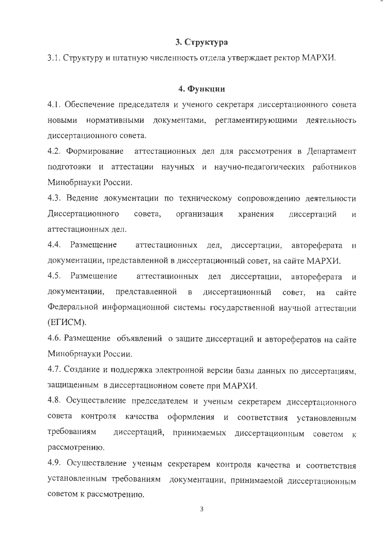## 3. Структура

3.1. Структуру и штатную численность отдела утверждает ректор МАРХИ.

## 4. Функции

4.1. Обеспечение председателя и ученого секретаря диссертационного совета НОВЫМИ нормативными документами, регламентирующими деятельность диссертационного совета.

аттестационных дел для рассмотрения в Департамент 4.2. Формирование подготовки и аттестации научных и научно-педагогических работников Минобрнауки России.

4.3. Ведение документации по техническому сопровождению деятельности Диссертационного совета, организация хранения диссертаций  $\overline{M}$ аттестационных дел.

4.4. Размешение аттестационных дел, диссертации, автореферата  $\mathbf{H}$ документации, представленной в диссертационный совет, на сайте МАРХИ.

4.5. Размешение аттестационных дел диссертации, автореферата И документации, представленной диссертационный  $\, {\bf B}$ совет, на сайте Федеральной информационной системы государственной научной аттестации (ЕГИСМ).

4.6. Размещение объявлений о защите диссертаций и авторефератов на сайте Минобрнауки России.

4.7. Создание и поддержка электронной версии базы данных по диссертациям, защищенным в диссертационном совете при МАРХИ.

4.8. Осуществление председателем и ученым секретарем диссертационного совета контроля качества оформления соответствия установленным  $\,$  M требованиям диссертаций, принимаемых диссертационным советом  $\mathbf{K}$ рассмотрению.

4.9. Осуществление ученым секретарем контроля качества и соответствия установленным требованиям документации, принимаемой диссертационным советом к рассмотрению.

3